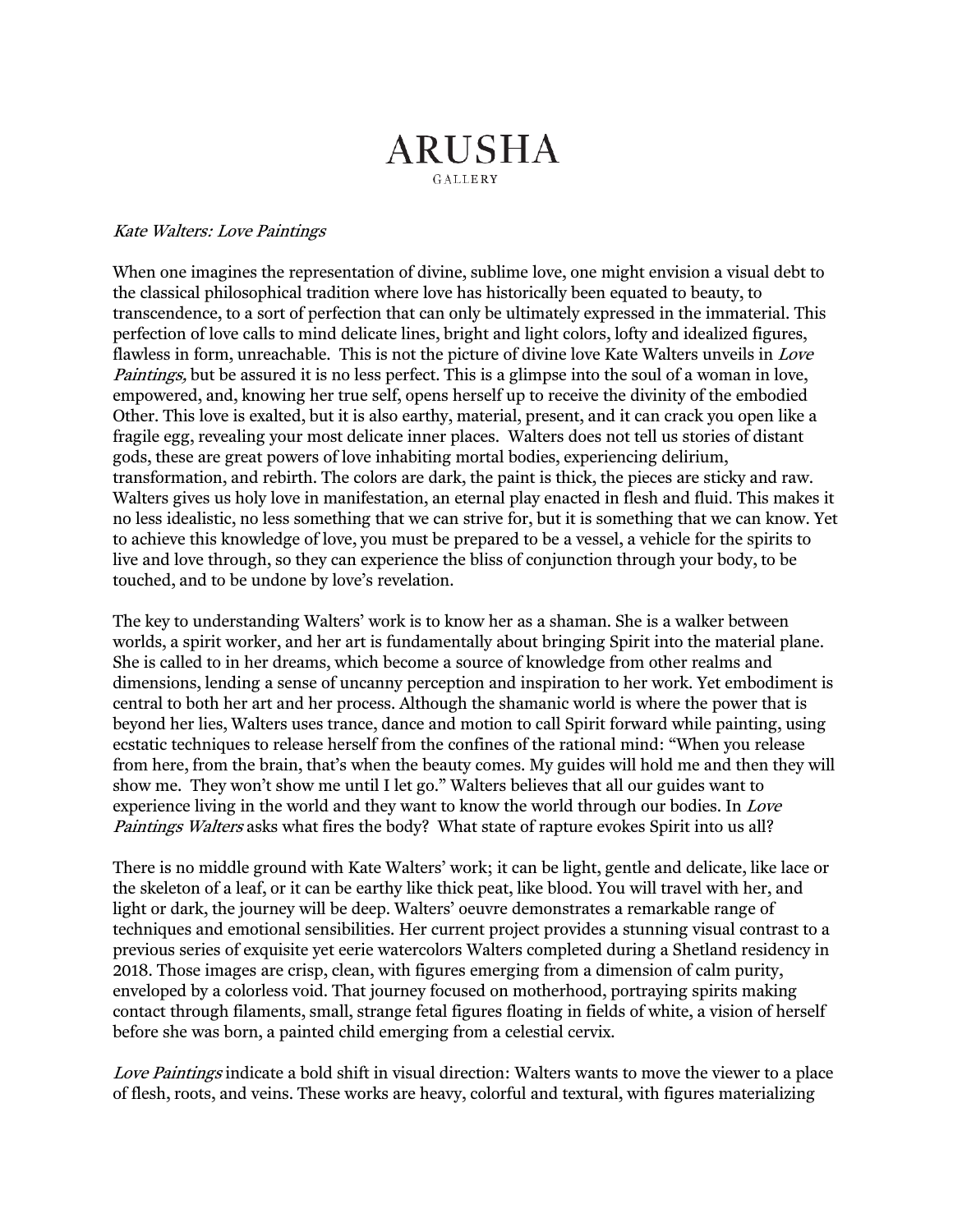## **ARUSHA** GALLERY

## Kate Walters: Love Paintings

When one imagines the representation of divine, sublime love, one might envision a visual debt to the classical philosophical tradition where love has historically been equated to beauty, to transcendence, to a sort of perfection that can only be ultimately expressed in the immaterial. This perfection of love calls to mind delicate lines, bright and light colors, lofty and idealized figures, flawless in form, unreachable. This is not the picture of divine love Kate Walters unveils in *Love* Paintings, but be assured it is no less perfect. This is a glimpse into the soul of a woman in love, empowered, and, knowing her true self, opens herself up to receive the divinity of the embodied Other. This love is exalted, but it is also earthy, material, present, and it can crack you open like a fragile egg, revealing your most delicate inner places. Walters does not tell us stories of distant gods, these are great powers of love inhabiting mortal bodies, experiencing delirium, transformation, and rebirth. The colors are dark, the paint is thick, the pieces are sticky and raw. Walters gives us holy love in manifestation, an eternal play enacted in flesh and fluid. This makes it no less idealistic, no less something that we can strive for, but it is something that we can know. Yet to achieve this knowledge of love, you must be prepared to be a vessel, a vehicle for the spirits to live and love through, so they can experience the bliss of conjunction through your body, to be touched, and to be undone by love's revelation.

The key to understanding Walters' work is to know her as a shaman. She is a walker between worlds, a spirit worker, and her art is fundamentally about bringing Spirit into the material plane. She is called to in her dreams, which become a source of knowledge from other realms and dimensions, lending a sense of uncanny perception and inspiration to her work. Yet embodiment is central to both her art and her process. Although the shamanic world is where the power that is beyond her lies, Walters uses trance, dance and motion to call Spirit forward while painting, using ecstatic techniques to release herself from the confines of the rational mind: "When you release from here, from the brain, that's when the beauty comes. My guides will hold me and then they will show me. They won't show me until I let go." Walters believes that all our guides want to experience living in the world and they want to know the world through our bodies. In Love Paintings Walters asks what fires the body? What state of rapture evokes Spirit into us all?

There is no middle ground with Kate Walters' work; it can be light, gentle and delicate, like lace or the skeleton of a leaf, or it can be earthy like thick peat, like blood. You will travel with her, and light or dark, the journey will be deep. Walters' oeuvre demonstrates a remarkable range of techniques and emotional sensibilities. Her current project provides a stunning visual contrast to a previous series of exquisite yet eerie watercolors Walters completed during a Shetland residency in 2018. Those images are crisp, clean, with figures emerging from a dimension of calm purity, enveloped by a colorless void. That journey focused on motherhood, portraying spirits making contact through filaments, small, strange fetal figures floating in fields of white, a vision of herself before she was born, a painted child emerging from a celestial cervix.

Love Paintings indicate a bold shift in visual direction: Walters wants to move the viewer to a place of flesh, roots, and veins. These works are heavy, colorful and textural, with figures materializing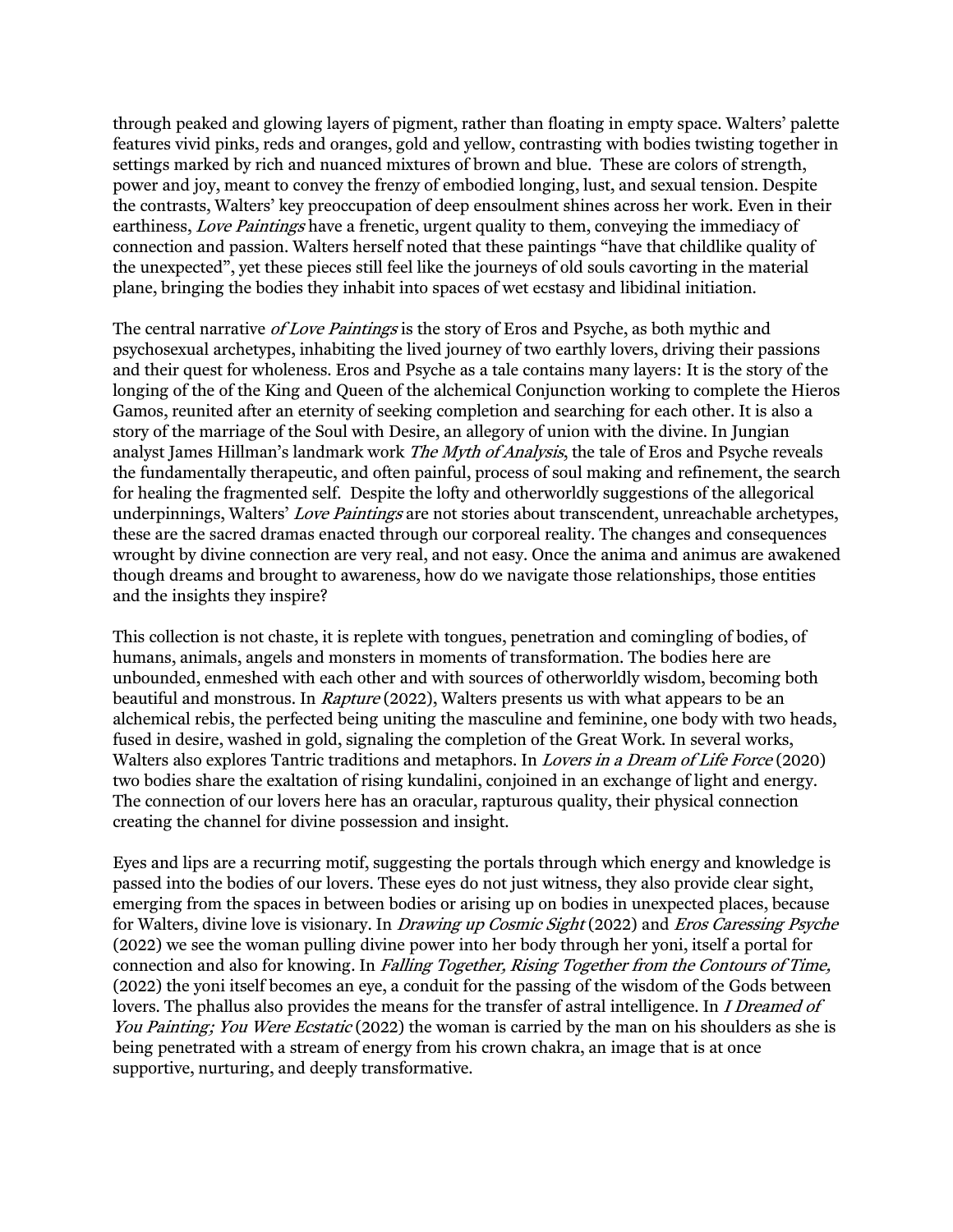through peaked and glowing layers of pigment, rather than floating in empty space. Walters' palette features vivid pinks, reds and oranges, gold and yellow, contrasting with bodies twisting together in settings marked by rich and nuanced mixtures of brown and blue. These are colors of strength, power and joy, meant to convey the frenzy of embodied longing, lust, and sexual tension. Despite the contrasts, Walters' key preoccupation of deep ensoulment shines across her work. Even in their earthiness, Love Paintings have a frenetic, urgent quality to them, conveying the immediacy of connection and passion. Walters herself noted that these paintings "have that childlike quality of the unexpected", yet these pieces still feel like the journeys of old souls cavorting in the material plane, bringing the bodies they inhabit into spaces of wet ecstasy and libidinal initiation.

The central narrative *of Love Paintings* is the story of Eros and Psyche, as both mythic and psychosexual archetypes, inhabiting the lived journey of two earthly lovers, driving their passions and their quest for wholeness. Eros and Psyche as a tale contains many layers: It is the story of the longing of the of the King and Queen of the alchemical Conjunction working to complete the Hieros Gamos, reunited after an eternity of seeking completion and searching for each other. It is also a story of the marriage of the Soul with Desire, an allegory of union with the divine. In Jungian analyst James Hillman's landmark work *The Myth of Analysis*, the tale of Eros and Psyche reveals the fundamentally therapeutic, and often painful, process of soul making and refinement, the search for healing the fragmented self. Despite the lofty and otherworldly suggestions of the allegorical underpinnings, Walters' Love Paintings are not stories about transcendent, unreachable archetypes, these are the sacred dramas enacted through our corporeal reality. The changes and consequences wrought by divine connection are very real, and not easy. Once the anima and animus are awakened though dreams and brought to awareness, how do we navigate those relationships, those entities and the insights they inspire?

This collection is not chaste, it is replete with tongues, penetration and comingling of bodies, of humans, animals, angels and monsters in moments of transformation. The bodies here are unbounded, enmeshed with each other and with sources of otherworldly wisdom, becoming both beautiful and monstrous. In Rapture (2022), Walters presents us with what appears to be an alchemical rebis, the perfected being uniting the masculine and feminine, one body with two heads, fused in desire, washed in gold, signaling the completion of the Great Work. In several works, Walters also explores Tantric traditions and metaphors. In *Lovers in a Dream of Life Force* (2020) two bodies share the exaltation of rising kundalini, conjoined in an exchange of light and energy. The connection of our lovers here has an oracular, rapturous quality, their physical connection creating the channel for divine possession and insight.

Eyes and lips are a recurring motif, suggesting the portals through which energy and knowledge is passed into the bodies of our lovers. These eyes do not just witness, they also provide clear sight, emerging from the spaces in between bodies or arising up on bodies in unexpected places, because for Walters, divine love is visionary. In *Drawing up Cosmic Sight* (2022) and *Eros Caressing Psyche* (2022) we see the woman pulling divine power into her body through her yoni, itself a portal for connection and also for knowing. In Falling Together, Rising Together from the Contours of Time, (2022) the yoni itself becomes an eye, a conduit for the passing of the wisdom of the Gods between lovers. The phallus also provides the means for the transfer of astral intelligence. In *I Dreamed of* You Painting; You Were Ecstatic (2022) the woman is carried by the man on his shoulders as she is being penetrated with a stream of energy from his crown chakra, an image that is at once supportive, nurturing, and deeply transformative.